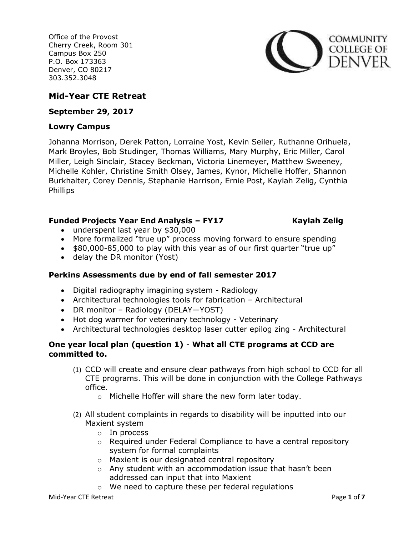

# **Mid-Year CTE Retreat**

**September 29, 2017**

### **Lowry Campus**

Johanna Morrison, Derek Patton, Lorraine Yost, Kevin Seiler, Ruthanne Orihuela, Mark Broyles, Bob Studinger, Thomas Williams, Mary Murphy, Eric Miller, Carol Miller, Leigh Sinclair, Stacey Beckman, Victoria Linemeyer, Matthew Sweeney, Michelle Kohler, Christine Smith Olsey, James, Kynor, Michelle Hoffer, Shannon Burkhalter, Corey Dennis, Stephanie Harrison, Ernie Post, Kaylah Zelig, Cynthia Phillips

# **Funded Projects Year End Analysis – FY17 Kaylah Zelig**

- underspent last year by \$30,000
- More formalized "true up" process moving forward to ensure spending
- \$80,000-85,000 to play with this year as of our first quarter "true up"
- delay the DR monitor (Yost)

# **Perkins Assessments due by end of fall semester 2017**

- Digital radiography imagining system Radiology
- Architectural technologies tools for fabrication Architectural
- DR monitor Radiology (DELAY—YOST)
- Hot dog warmer for veterinary technology Veterinary
- Architectural technologies desktop laser cutter epilog zing Architectural

# **One year local plan (question 1)** - **What all CTE programs at CCD are committed to.**

- (1) CCD will create and ensure clear pathways from high school to CCD for all CTE programs. This will be done in conjunction with the College Pathways office.
	- o Michelle Hoffer will share the new form later today.
- (2) All student complaints in regards to disability will be inputted into our Maxient system
	- o In process
	- o Required under Federal Compliance to have a central repository system for formal complaints
	- o Maxient is our designated central repository
	- o Any student with an accommodation issue that hasn't been addressed can input that into Maxient
	- o We need to capture these per federal regulations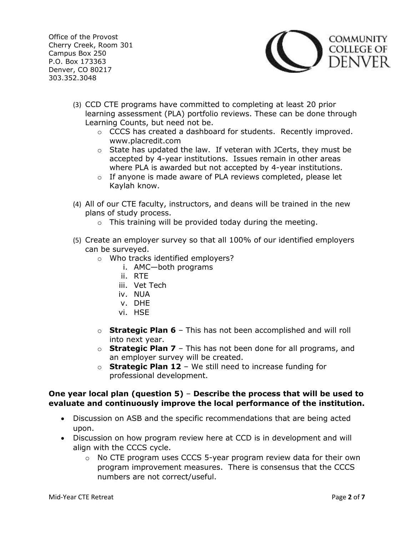

- (3) CCD CTE programs have committed to completing at least 20 prior learning assessment (PLA) portfolio reviews. These can be done through Learning Counts, but need not be.
	- o CCCS has created a dashboard for students. Recently improved. www.placredit.com
	- o State has updated the law. If veteran with JCerts, they must be accepted by 4-year institutions. Issues remain in other areas where PLA is awarded but not accepted by 4-year institutions.
	- $\circ$  If anyone is made aware of PLA reviews completed, please let Kaylah know.
- (4) All of our CTE faculty, instructors, and deans will be trained in the new plans of study process.
	- $\circ$  This training will be provided today during the meeting.
- (5) Create an employer survey so that all 100% of our identified employers can be surveyed.
	- o Who tracks identified employers?
		- i. AMC—both programs
		- ii. RTE
		- iii. Vet Tech
		- iv. NUA
		- v. DHE
		- vi. HSE
	- o **Strategic Plan 6** This has not been accomplished and will roll into next year.
	- o **Strategic Plan 7** This has not been done for all programs, and an employer survey will be created.
	- o **Strategic Plan 12** We still need to increase funding for professional development.

# **One year local plan (question 5)** – **Describe the process that will be used to evaluate and continuously improve the local performance of the institution.**

- Discussion on ASB and the specific recommendations that are being acted upon.
- Discussion on how program review here at CCD is in development and will align with the CCCS cycle.
	- $\circ$  No CTE program uses CCCS 5-year program review data for their own program improvement measures. There is consensus that the CCCS numbers are not correct/useful.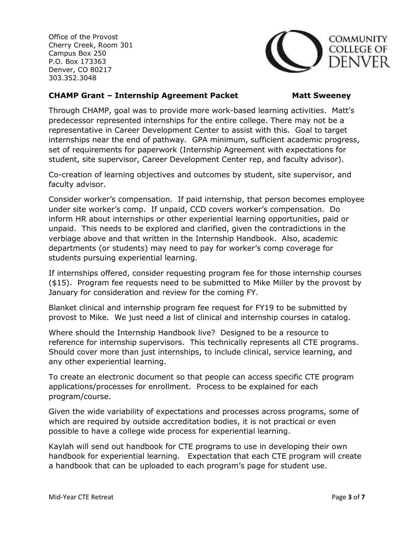

### **CHAMP Grant – Internship Agreement Packet Matt Sweeney**

Through CHAMP, goal was to provide more work-based learning activities. Matt's predecessor represented internships for the entire college. There may not be a representative in Career Development Center to assist with this. Goal to target internships near the end of pathway. GPA minimum, sufficient academic progress, set of requirements for paperwork (Internship Agreement with expectations for student, site supervisor, Career Development Center rep, and faculty advisor).

Co-creation of learning objectives and outcomes by student, site supervisor, and faculty advisor.

Consider worker's compensation. If paid internship, that person becomes employee under site worker's comp. If unpaid, CCD covers worker's compensation. Do inform HR about internships or other experiential learning opportunities, paid or unpaid. This needs to be explored and clarified, given the contradictions in the verbiage above and that written in the Internship Handbook. Also, academic departments (or students) may need to pay for worker's comp coverage for students pursuing experiential learning.

If internships offered, consider requesting program fee for those internship courses (\$15). Program fee requests need to be submitted to Mike Miller by the provost by January for consideration and review for the coming FY.

Blanket clinical and internship program fee request for FY19 to be submitted by provost to Mike. We just need a list of clinical and internship courses in catalog.

Where should the Internship Handbook live? Designed to be a resource to reference for internship supervisors. This technically represents all CTE programs. Should cover more than just internships, to include clinical, service learning, and any other experiential learning.

To create an electronic document so that people can access specific CTE program applications/processes for enrollment. Process to be explained for each program/course.

Given the wide variability of expectations and processes across programs, some of which are required by outside accreditation bodies, it is not practical or even possible to have a college wide process for experiential learning.

Kaylah will send out handbook for CTE programs to use in developing their own handbook for experiential learning. Expectation that each CTE program will create a handbook that can be uploaded to each program's page for student use.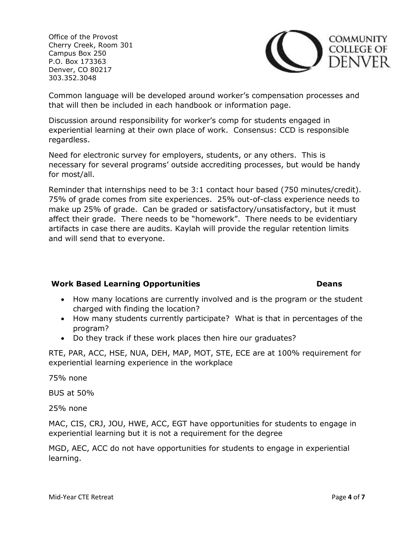

Common language will be developed around worker's compensation processes and that will then be included in each handbook or information page.

Discussion around responsibility for worker's comp for students engaged in experiential learning at their own place of work. Consensus: CCD is responsible regardless.

Need for electronic survey for employers, students, or any others. This is necessary for several programs' outside accrediting processes, but would be handy for most/all.

Reminder that internships need to be 3:1 contact hour based (750 minutes/credit). 75% of grade comes from site experiences. 25% out-of-class experience needs to make up 25% of grade. Can be graded or satisfactory/unsatisfactory, but it must affect their grade. There needs to be "homework". There needs to be evidentiary artifacts in case there are audits. Kaylah will provide the regular retention limits and will send that to everyone.

# **Work Based Learning Opportunities Deans Deans**

- How many locations are currently involved and is the program or the student charged with finding the location?
- How many students currently participate? What is that in percentages of the program?
- Do they track if these work places then hire our graduates?

RTE, PAR, ACC, HSE, NUA, DEH, MAP, MOT, STE, ECE are at 100% requirement for experiential learning experience in the workplace

75% none

BUS at 50%

25% none

MAC, CIS, CRJ, JOU, HWE, ACC, EGT have opportunities for students to engage in experiential learning but it is not a requirement for the degree

MGD, AEC, ACC do not have opportunities for students to engage in experiential learning.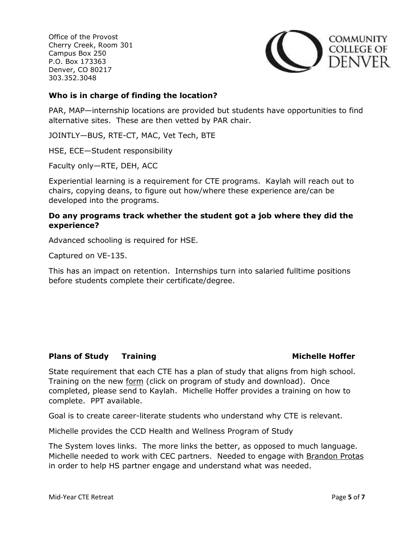

### **Who is in charge of finding the location?**

PAR, MAP—internship locations are provided but students have opportunities to find alternative sites. These are then vetted by PAR chair.

JOINTLY—BUS, RTE-CT, MAC, Vet Tech, BTE

HSE, ECE—Student responsibility

Faculty only—RTE, DEH, ACC

Experiential learning is a requirement for CTE programs. Kaylah will reach out to chairs, copying deans, to figure out how/where these experience are/can be developed into the programs.

### **Do any programs track whether the student got a job where they did the experience?**

Advanced schooling is required for HSE.

Captured on VE-135.

This has an impact on retention. Internships turn into salaried fulltime positions before students complete their certificate/degree.

### **Plans of Study Training Michelle Hoffer**

State requirement that each CTE has a plan of study that aligns from high school. Training on the new [form](http://coloradostateplan.com/administrator/perkins/cte-best-practices/implementing-cte-program-of-study/) (click on program of study and download). Once completed, please send to Kaylah. Michelle Hoffer provides a training on how to complete. PPT available.

Goal is to create career-literate students who understand why CTE is relevant.

Michelle provides the CCD Health and Wellness Program of Study

The System loves links. The more links the better, as opposed to much language. Michelle needed to work with CEC partners. Needed to engage with [Brandon Protas](mailto:brandon.protas@ccd.edu) in order to help HS partner engage and understand what was needed.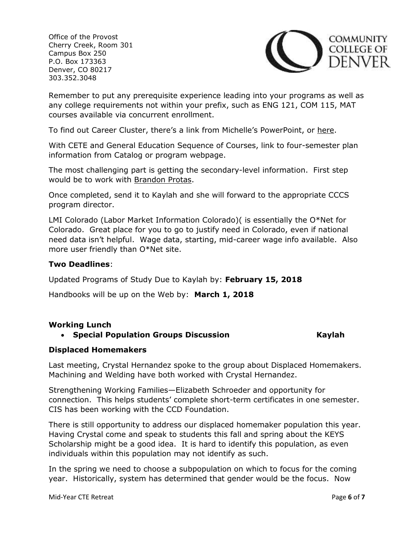

Remember to put any prerequisite experience leading into your programs as well as any college requirements not within your prefix, such as ENG 121, COM 115, MAT courses available via concurrent enrollment.

To find out Career Cluster, there's a link from Michelle's PowerPoint, or [here.](http://coloradostateplan.com/educator/career-clusters/)

With CETE and General Education Sequence of Courses, link to four-semester plan information from Catalog or program webpage.

The most challenging part is getting the secondary-level information. First step would be to work with [Brandon Protas.](mailto:brandon.protas@ccd.edu)

Once completed, send it to Kaylah and she will forward to the appropriate CCCS program director.

LMI Colorado (Labor Market Information Colorado)( is essentially the O\*Net for Colorado. Great place for you to go to justify need in Colorado, even if national need data isn't helpful. Wage data, starting, mid-career wage info available. Also more user friendly than O\*Net site.

#### **Two Deadlines**:

Updated Programs of Study Due to Kaylah by: **February 15, 2018**

Handbooks will be up on the Web by: **March 1, 2018**

### **Working Lunch**

### **Special Population Groups Discussion Kaylah**

### **Displaced Homemakers**

Last meeting, Crystal Hernandez spoke to the group about Displaced Homemakers. Machining and Welding have both worked with Crystal Hernandez.

Strengthening Working Families—Elizabeth Schroeder and opportunity for connection. This helps students' complete short-term certificates in one semester. CIS has been working with the CCD Foundation.

There is still opportunity to address our displaced homemaker population this year. Having Crystal come and speak to students this fall and spring about the KEYS Scholarship might be a good idea. It is hard to identify this population, as even individuals within this population may not identify as such.

In the spring we need to choose a subpopulation on which to focus for the coming year. Historically, system has determined that gender would be the focus. Now